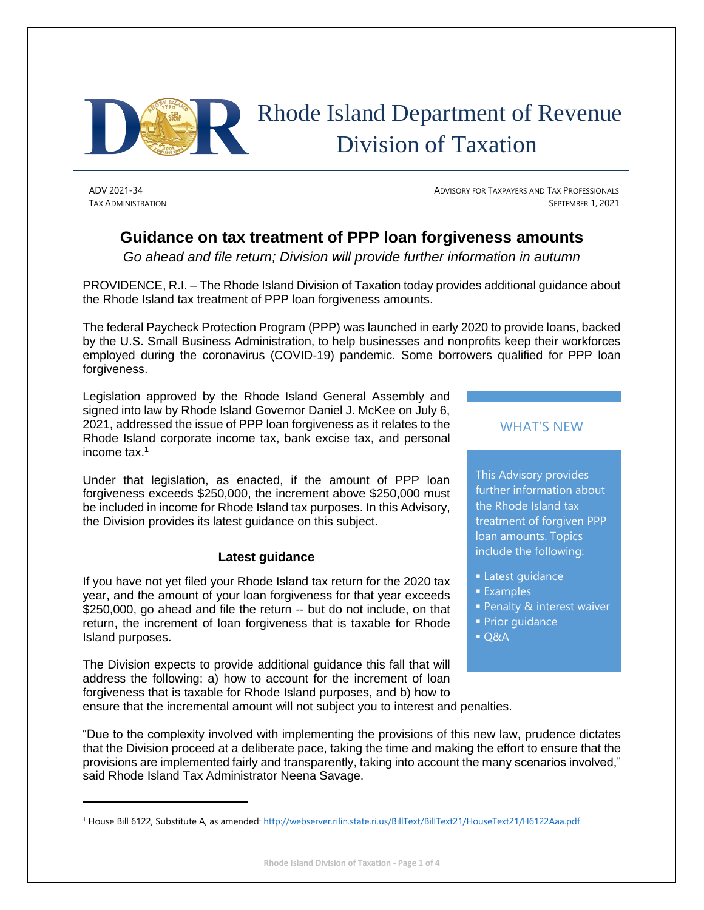

# Rhode Island Department of Revenue Division of Taxation

ADV 2021-34 ADVISORY FOR TAXPAYERS AND TAX PROFESSIONALS TAX ADMINISTRATION SEPTEMBER 1, 2021

# **Guidance on tax treatment of PPP loan forgiveness amounts**

*Go ahead and file return; Division will provide further information in autumn*

PROVIDENCE, R.I. – The Rhode Island Division of Taxation today provides additional guidance about the Rhode Island tax treatment of PPP loan forgiveness amounts.

The federal Paycheck Protection Program (PPP) was launched in early 2020 to provide loans, backed by the U.S. Small Business Administration, to help businesses and nonprofits keep their workforces employed during the coronavirus (COVID-19) pandemic. Some borrowers qualified for PPP loan forgiveness.

Legislation approved by the Rhode Island General Assembly and signed into law by Rhode Island Governor Daniel J. McKee on July 6, 2021, addressed the issue of PPP loan forgiveness as it relates to the Rhode Island corporate income tax, bank excise tax, and personal income tax.<sup>1</sup>

Under that legislation, as enacted, if the amount of PPP loan forgiveness exceeds \$250,000, the increment above \$250,000 must be included in income for Rhode Island tax purposes. In this Advisory, the Division provides its latest guidance on this subject.

### **Latest guidance**

If you have not yet filed your Rhode Island tax return for the 2020 tax year, and the amount of your loan forgiveness for that year exceeds \$250,000, go ahead and file the return -- but do not include, on that return, the increment of loan forgiveness that is taxable for Rhode Island purposes.

The Division expects to provide additional guidance this fall that will address the following: a) how to account for the increment of loan forgiveness that is taxable for Rhode Island purposes, and b) how to ensure that the incremental amount will not subject you to interest and penalties.

## WHAT'S NEW

This Advisory provides further information about the Rhode Island tax treatment of forgiven PPP loan amounts. Topics include the following:

- **Latest quidance**
- **Examples**
- **Penalty & interest waiver**
- **Prior quidance**
- Q&A

"Due to the complexity involved with implementing the provisions of this new law, prudence dictates that the Division proceed at a deliberate pace, taking the time and making the effort to ensure that the provisions are implemented fairly and transparently, taking into account the many scenarios involved," said Rhode Island Tax Administrator Neena Savage.

<sup>&</sup>lt;sup>1</sup> House Bill 6122, Substitute A, as amended[: http://webserver.rilin.state.ri.us/BillText/BillText21/HouseText21/H6122Aaa.pdf.](http://webserver.rilin.state.ri.us/BillText/BillText21/HouseText21/H6122Aaa.pdf)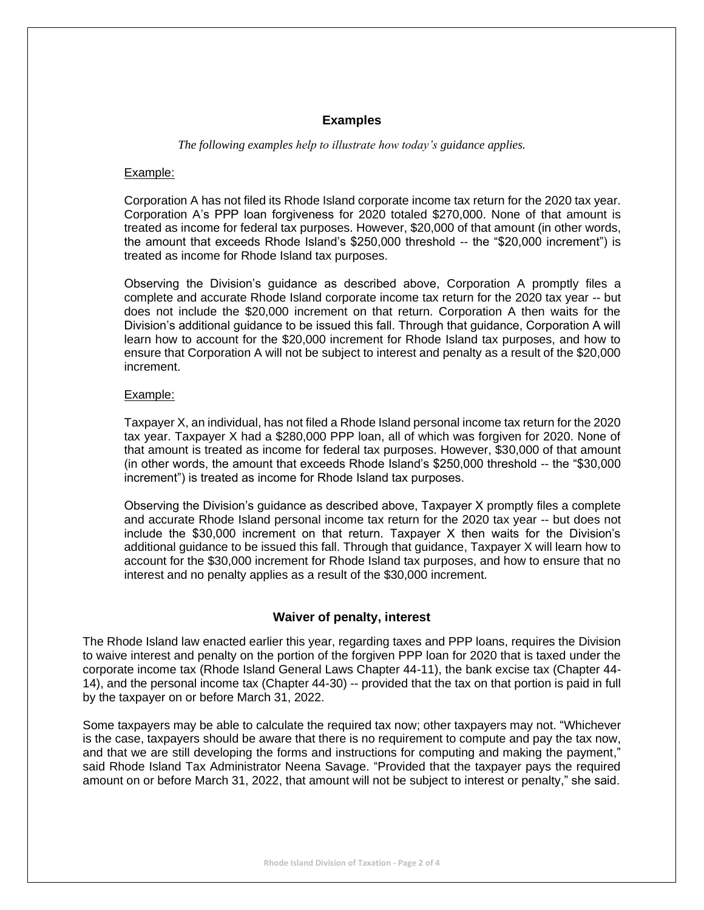#### **Examples**

*The following examples help to illustrate how today's guidance applies.*

#### Example:

Corporation A has not filed its Rhode Island corporate income tax return for the 2020 tax year. Corporation A's PPP loan forgiveness for 2020 totaled \$270,000. None of that amount is treated as income for federal tax purposes. However, \$20,000 of that amount (in other words, the amount that exceeds Rhode Island's \$250,000 threshold -- the "\$20,000 increment") is treated as income for Rhode Island tax purposes.

Observing the Division's guidance as described above, Corporation A promptly files a complete and accurate Rhode Island corporate income tax return for the 2020 tax year -- but does not include the \$20,000 increment on that return. Corporation A then waits for the Division's additional guidance to be issued this fall. Through that guidance, Corporation A will learn how to account for the \$20,000 increment for Rhode Island tax purposes, and how to ensure that Corporation A will not be subject to interest and penalty as a result of the \$20,000 increment.

#### Example:

Taxpayer X, an individual, has not filed a Rhode Island personal income tax return for the 2020 tax year. Taxpayer X had a \$280,000 PPP loan, all of which was forgiven for 2020. None of that amount is treated as income for federal tax purposes. However, \$30,000 of that amount (in other words, the amount that exceeds Rhode Island's \$250,000 threshold -- the "\$30,000 increment") is treated as income for Rhode Island tax purposes.

Observing the Division's guidance as described above, Taxpayer X promptly files a complete and accurate Rhode Island personal income tax return for the 2020 tax year -- but does not include the \$30,000 increment on that return. Taxpayer X then waits for the Division's additional guidance to be issued this fall. Through that guidance, Taxpayer X will learn how to account for the \$30,000 increment for Rhode Island tax purposes, and how to ensure that no interest and no penalty applies as a result of the \$30,000 increment.

#### **Waiver of penalty, interest**

The Rhode Island law enacted earlier this year, regarding taxes and PPP loans, requires the Division to waive interest and penalty on the portion of the forgiven PPP loan for 2020 that is taxed under the corporate income tax (Rhode Island General Laws Chapter 44-11), the bank excise tax (Chapter 44- 14), and the personal income tax (Chapter 44-30) -- provided that the tax on that portion is paid in full by the taxpayer on or before March 31, 2022.

Some taxpayers may be able to calculate the required tax now; other taxpayers may not. "Whichever is the case, taxpayers should be aware that there is no requirement to compute and pay the tax now, and that we are still developing the forms and instructions for computing and making the payment," said Rhode Island Tax Administrator Neena Savage. "Provided that the taxpayer pays the required amount on or before March 31, 2022, that amount will not be subject to interest or penalty," she said.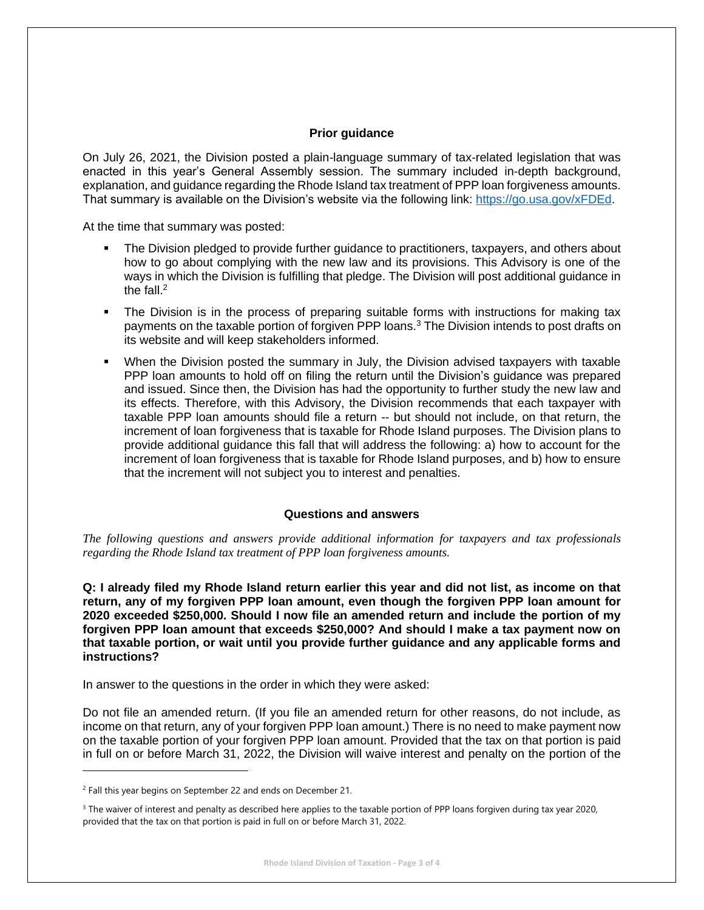#### **Prior guidance**

On July 26, 2021, the Division posted a plain-language summary of tax-related legislation that was enacted in this year's General Assembly session. The summary included in-depth background, explanation, and guidance regarding the Rhode Island tax treatment of PPP loan forgiveness amounts. That summary is available on the Division's website via the following link: [https://go.usa.gov/xFDEd.](https://go.usa.gov/xFDEd)

At the time that summary was posted:

- The Division pledged to provide further guidance to practitioners, taxpayers, and others about how to go about complying with the new law and its provisions. This Advisory is one of the ways in which the Division is fulfilling that pledge. The Division will post additional guidance in the fall. $2$
- The Division is in the process of preparing suitable forms with instructions for making tax payments on the taxable portion of forgiven PPP loans.<sup>3</sup> The Division intends to post drafts on its website and will keep stakeholders informed.
- When the Division posted the summary in July, the Division advised taxpayers with taxable PPP loan amounts to hold off on filing the return until the Division's guidance was prepared and issued. Since then, the Division has had the opportunity to further study the new law and its effects. Therefore, with this Advisory, the Division recommends that each taxpayer with taxable PPP loan amounts should file a return -- but should not include, on that return, the increment of loan forgiveness that is taxable for Rhode Island purposes. The Division plans to provide additional guidance this fall that will address the following: a) how to account for the increment of loan forgiveness that is taxable for Rhode Island purposes, and b) how to ensure that the increment will not subject you to interest and penalties.

#### **Questions and answers**

*The following questions and answers provide additional information for taxpayers and tax professionals regarding the Rhode Island tax treatment of PPP loan forgiveness amounts.*

**Q: I already filed my Rhode Island return earlier this year and did not list, as income on that return, any of my forgiven PPP loan amount, even though the forgiven PPP loan amount for 2020 exceeded \$250,000. Should I now file an amended return and include the portion of my forgiven PPP loan amount that exceeds \$250,000? And should I make a tax payment now on that taxable portion, or wait until you provide further guidance and any applicable forms and instructions?**

In answer to the questions in the order in which they were asked:

Do not file an amended return. (If you file an amended return for other reasons, do not include, as income on that return, any of your forgiven PPP loan amount.) There is no need to make payment now on the taxable portion of your forgiven PPP loan amount. Provided that the tax on that portion is paid in full on or before March 31, 2022, the Division will waive interest and penalty on the portion of the

<sup>&</sup>lt;sup>2</sup> Fall this year begins on September 22 and ends on December 21.

<sup>&</sup>lt;sup>3</sup> The waiver of interest and penalty as described here applies to the taxable portion of PPP loans forgiven during tax year 2020, provided that the tax on that portion is paid in full on or before March 31, 2022.